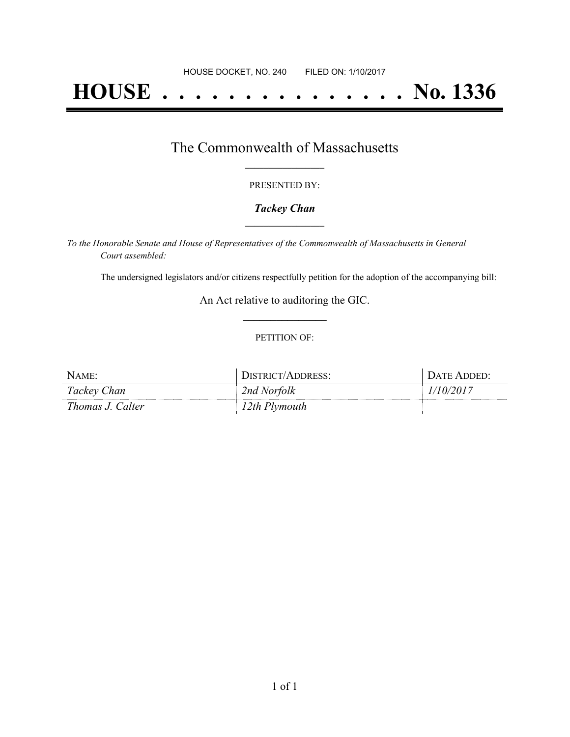# **HOUSE . . . . . . . . . . . . . . . No. 1336**

## The Commonwealth of Massachusetts **\_\_\_\_\_\_\_\_\_\_\_\_\_\_\_\_\_**

#### PRESENTED BY:

#### *Tackey Chan* **\_\_\_\_\_\_\_\_\_\_\_\_\_\_\_\_\_**

*To the Honorable Senate and House of Representatives of the Commonwealth of Massachusetts in General Court assembled:*

The undersigned legislators and/or citizens respectfully petition for the adoption of the accompanying bill:

An Act relative to auditoring the GIC. **\_\_\_\_\_\_\_\_\_\_\_\_\_\_\_**

#### PETITION OF:

| NAME:            | DISTRICT/ADDRESS: | DATE ADDED' |
|------------------|-------------------|-------------|
| Tackey Chan      | 2nd Norfolk       | 10/2017     |
| Thomas J. Calter | 12th Plymouth     |             |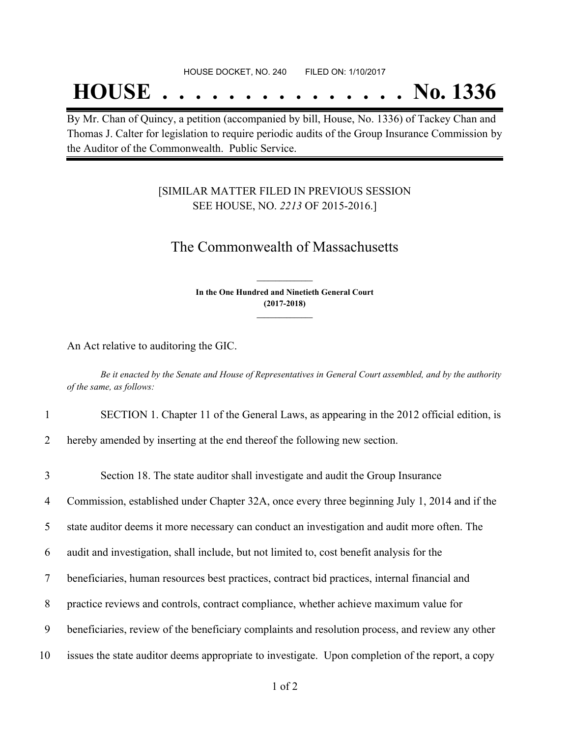## **HOUSE . . . . . . . . . . . . . . . No. 1336**

By Mr. Chan of Quincy, a petition (accompanied by bill, House, No. 1336) of Tackey Chan and Thomas J. Calter for legislation to require periodic audits of the Group Insurance Commission by the Auditor of the Commonwealth. Public Service.

### [SIMILAR MATTER FILED IN PREVIOUS SESSION SEE HOUSE, NO. *2213* OF 2015-2016.]

## The Commonwealth of Massachusetts

**In the One Hundred and Ninetieth General Court (2017-2018) \_\_\_\_\_\_\_\_\_\_\_\_\_\_\_**

**\_\_\_\_\_\_\_\_\_\_\_\_\_\_\_**

An Act relative to auditoring the GIC.

Be it enacted by the Senate and House of Representatives in General Court assembled, and by the authority *of the same, as follows:*

- 1 SECTION 1. Chapter 11 of the General Laws, as appearing in the 2012 official edition, is
- 2 hereby amended by inserting at the end thereof the following new section.

 Section 18. The state auditor shall investigate and audit the Group Insurance Commission, established under Chapter 32A, once every three beginning July 1, 2014 and if the state auditor deems it more necessary can conduct an investigation and audit more often. The audit and investigation, shall include, but not limited to, cost benefit analysis for the beneficiaries, human resources best practices, contract bid practices, internal financial and practice reviews and controls, contract compliance, whether achieve maximum value for beneficiaries, review of the beneficiary complaints and resolution process, and review any other issues the state auditor deems appropriate to investigate. Upon completion of the report, a copy